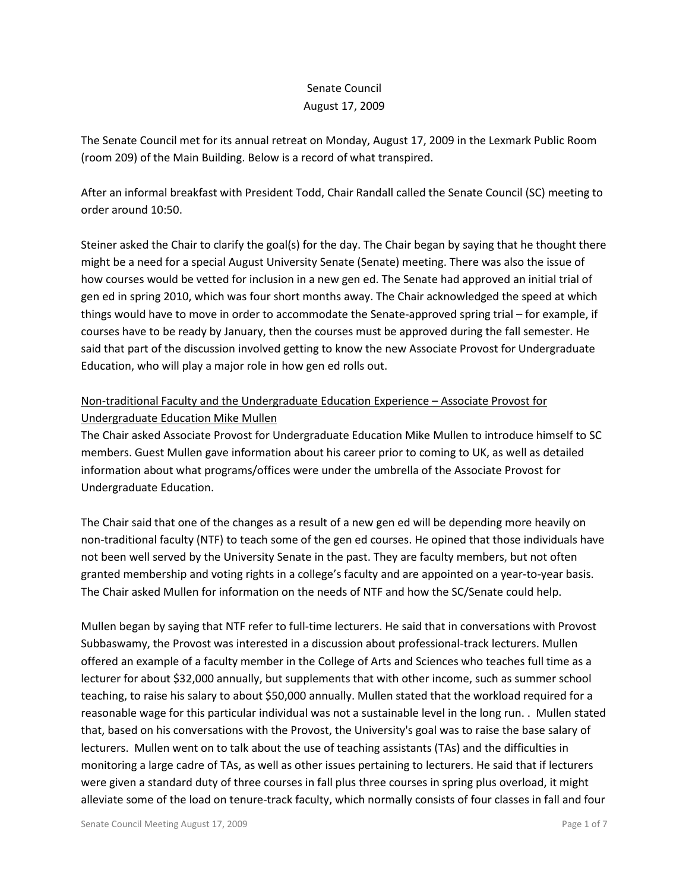# Senate Council August 17, 2009

The Senate Council met for its annual retreat on Monday, August 17, 2009 in the Lexmark Public Room (room 209) of the Main Building. Below is a record of what transpired.

After an informal breakfast with President Todd, Chair Randall called the Senate Council (SC) meeting to order around 10:50.

Steiner asked the Chair to clarify the goal(s) for the day. The Chair began by saying that he thought there might be a need for a special August University Senate (Senate) meeting. There was also the issue of how courses would be vetted for inclusion in a new gen ed. The Senate had approved an initial trial of gen ed in spring 2010, which was four short months away. The Chair acknowledged the speed at which things would have to move in order to accommodate the Senate-approved spring trial – for example, if courses have to be ready by January, then the courses must be approved during the fall semester. He said that part of the discussion involved getting to know the new Associate Provost for Undergraduate Education, who will play a major role in how gen ed rolls out.

# Non-traditional Faculty and the Undergraduate Education Experience – Associate Provost for Undergraduate Education Mike Mullen

The Chair asked Associate Provost for Undergraduate Education Mike Mullen to introduce himself to SC members. Guest Mullen gave information about his career prior to coming to UK, as well as detailed information about what programs/offices were under the umbrella of the Associate Provost for Undergraduate Education.

The Chair said that one of the changes as a result of a new gen ed will be depending more heavily on non-traditional faculty (NTF) to teach some of the gen ed courses. He opined that those individuals have not been well served by the University Senate in the past. They are faculty members, but not often granted membership and voting rights in a college's faculty and are appointed on a year-to-year basis. The Chair asked Mullen for information on the needs of NTF and how the SC/Senate could help.

Mullen began by saying that NTF refer to full-time lecturers. He said that in conversations with Provost Subbaswamy, the Provost was interested in a discussion about professional-track lecturers. Mullen offered an example of a faculty member in the College of Arts and Sciences who teaches full time as a lecturer for about \$32,000 annually, but supplements that with other income, such as summer school teaching, to raise his salary to about \$50,000 annually. Mullen stated that the workload required for a reasonable wage for this particular individual was not a sustainable level in the long run. . Mullen stated that, based on his conversations with the Provost, the University's goal was to raise the base salary of lecturers. Mullen went on to talk about the use of teaching assistants (TAs) and the difficulties in monitoring a large cadre of TAs, as well as other issues pertaining to lecturers. He said that if lecturers were given a standard duty of three courses in fall plus three courses in spring plus overload, it might alleviate some of the load on tenure-track faculty, which normally consists of four classes in fall and four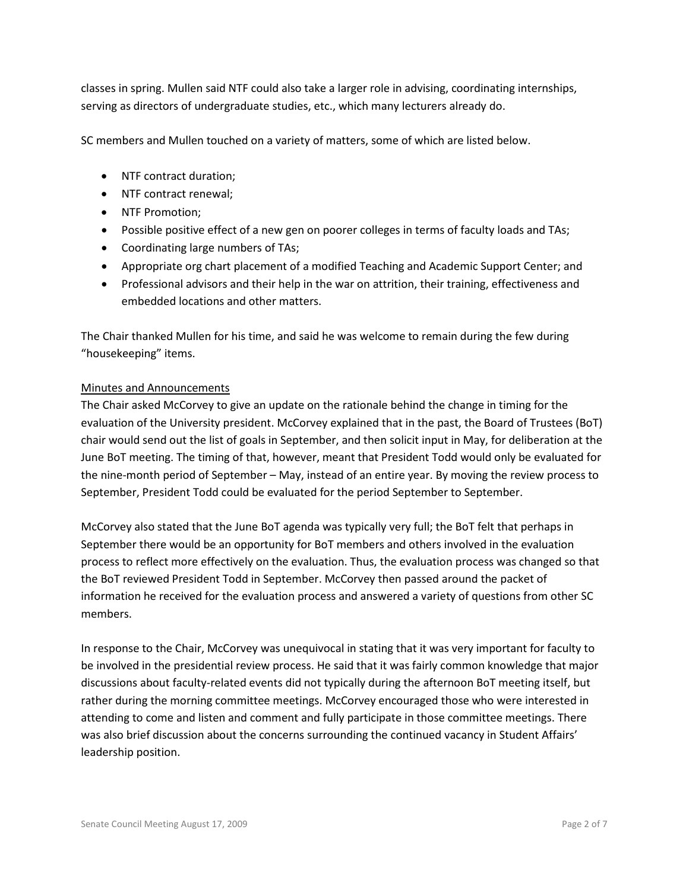classes in spring. Mullen said NTF could also take a larger role in advising, coordinating internships, serving as directors of undergraduate studies, etc., which many lecturers already do.

SC members and Mullen touched on a variety of matters, some of which are listed below.

- NTF contract duration;
- NTF contract renewal;
- NTF Promotion;
- Possible positive effect of a new gen on poorer colleges in terms of faculty loads and TAs;
- Coordinating large numbers of TAs;
- Appropriate org chart placement of a modified Teaching and Academic Support Center; and
- Professional advisors and their help in the war on attrition, their training, effectiveness and embedded locations and other matters.

The Chair thanked Mullen for his time, and said he was welcome to remain during the few during "housekeeping" items.

#### Minutes and Announcements

The Chair asked McCorvey to give an update on the rationale behind the change in timing for the evaluation of the University president. McCorvey explained that in the past, the Board of Trustees (BoT) chair would send out the list of goals in September, and then solicit input in May, for deliberation at the June BoT meeting. The timing of that, however, meant that President Todd would only be evaluated for the nine-month period of September – May, instead of an entire year. By moving the review process to September, President Todd could be evaluated for the period September to September.

McCorvey also stated that the June BoT agenda was typically very full; the BoT felt that perhaps in September there would be an opportunity for BoT members and others involved in the evaluation process to reflect more effectively on the evaluation. Thus, the evaluation process was changed so that the BoT reviewed President Todd in September. McCorvey then passed around the packet of information he received for the evaluation process and answered a variety of questions from other SC members.

In response to the Chair, McCorvey was unequivocal in stating that it was very important for faculty to be involved in the presidential review process. He said that it was fairly common knowledge that major discussions about faculty-related events did not typically during the afternoon BoT meeting itself, but rather during the morning committee meetings. McCorvey encouraged those who were interested in attending to come and listen and comment and fully participate in those committee meetings. There was also brief discussion about the concerns surrounding the continued vacancy in Student Affairs' leadership position.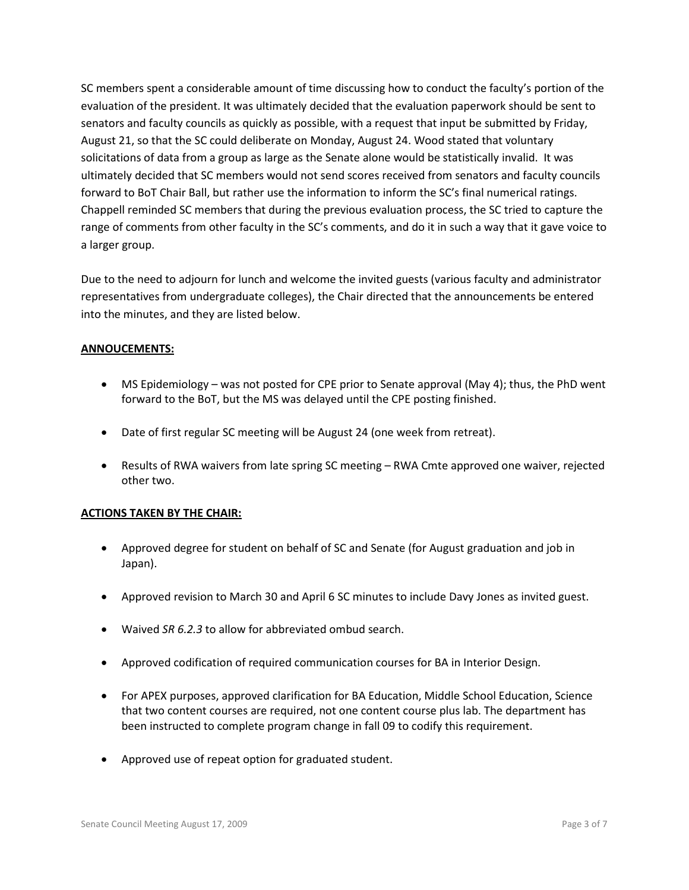SC members spent a considerable amount of time discussing how to conduct the faculty's portion of the evaluation of the president. It was ultimately decided that the evaluation paperwork should be sent to senators and faculty councils as quickly as possible, with a request that input be submitted by Friday, August 21, so that the SC could deliberate on Monday, August 24. Wood stated that voluntary solicitations of data from a group as large as the Senate alone would be statistically invalid. It was ultimately decided that SC members would not send scores received from senators and faculty councils forward to BoT Chair Ball, but rather use the information to inform the SC's final numerical ratings. Chappell reminded SC members that during the previous evaluation process, the SC tried to capture the range of comments from other faculty in the SC's comments, and do it in such a way that it gave voice to a larger group.

Due to the need to adjourn for lunch and welcome the invited guests (various faculty and administrator representatives from undergraduate colleges), the Chair directed that the announcements be entered into the minutes, and they are listed below.

## **ANNOUCEMENTS:**

- MS Epidemiology was not posted for CPE prior to Senate approval (May 4); thus, the PhD went forward to the BoT, but the MS was delayed until the CPE posting finished.
- Date of first regular SC meeting will be August 24 (one week from retreat).
- Results of RWA waivers from late spring SC meeting RWA Cmte approved one waiver, rejected other two.

## **ACTIONS TAKEN BY THE CHAIR:**

- Approved degree for student on behalf of SC and Senate (for August graduation and job in Japan).
- Approved revision to March 30 and April 6 SC minutes to include Davy Jones as invited guest.
- Waived *SR 6.2.3* to allow for abbreviated ombud search.
- Approved codification of required communication courses for BA in Interior Design.
- For APEX purposes, approved clarification for BA Education, Middle School Education, Science that two content courses are required, not one content course plus lab. The department has been instructed to complete program change in fall 09 to codify this requirement.
- Approved use of repeat option for graduated student.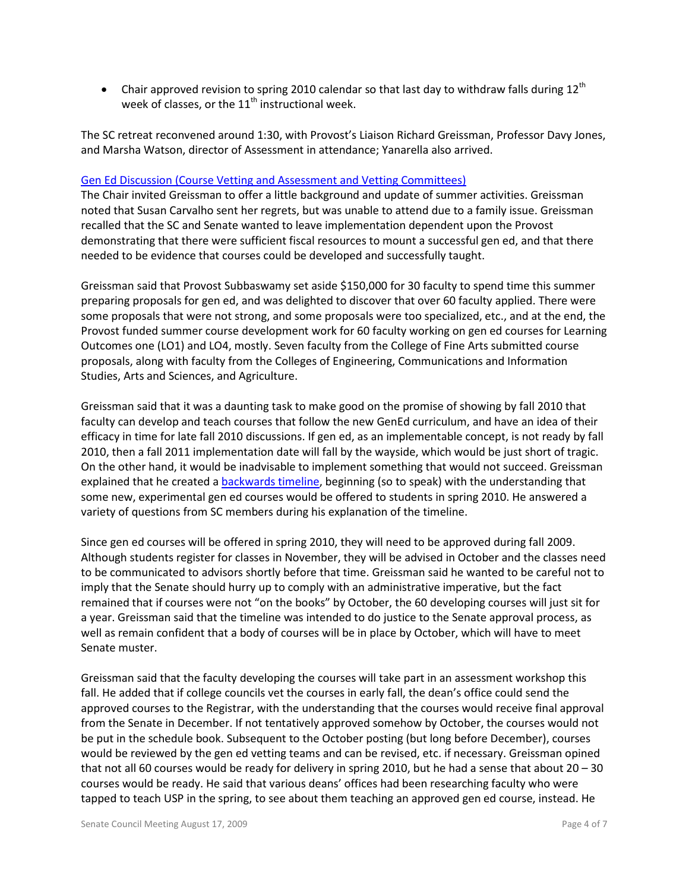• Chair approved revision to spring 2010 calendar so that last day to withdraw falls during  $12^{th}$ week of classes, or the  $11<sup>th</sup>$  instructional week.

The SC retreat reconvened around 1:30, with Provost's Liaison Richard Greissman, Professor Davy Jones, and Marsha Watson, director of Assessment in attendance; Yanarella also arrived.

#### [Gen Ed Discussion \(Course Vetting and Assessment and Vetting Committees\)](http://www.uky.edu/Faculty/Senate/files/Meetings/20090817/Gen%20Ed%20materials%20for%20Senate%20Council%20Retreat.pdf)

The Chair invited Greissman to offer a little background and update of summer activities. Greissman noted that Susan Carvalho sent her regrets, but was unable to attend due to a family issue. Greissman recalled that the SC and Senate wanted to leave implementation dependent upon the Provost demonstrating that there were sufficient fiscal resources to mount a successful gen ed, and that there needed to be evidence that courses could be developed and successfully taught.

Greissman said that Provost Subbaswamy set aside \$150,000 for 30 faculty to spend time this summer preparing proposals for gen ed, and was delighted to discover that over 60 faculty applied. There were some proposals that were not strong, and some proposals were too specialized, etc., and at the end, the Provost funded summer course development work for 60 faculty working on gen ed courses for Learning Outcomes one (LO1) and LO4, mostly. Seven faculty from the College of Fine Arts submitted course proposals, along with faculty from the Colleges of Engineering, Communications and Information Studies, Arts and Sciences, and Agriculture.

Greissman said that it was a daunting task to make good on the promise of showing by fall 2010 that faculty can develop and teach courses that follow the new GenEd curriculum, and have an idea of their efficacy in time for late fall 2010 discussions. If gen ed, as an implementable concept, is not ready by fall 2010, then a fall 2011 implementation date will fall by the wayside, which would be just short of tragic. On the other hand, it would be inadvisable to implement something that would not succeed. Greissman explained that he created a [backwards timeline,](http://www.uky.edu/Faculty/Senate/files/Meetings/20090817/GenEd%20Implementation%20-%20Fall%202009%20reverse%20timeline%20(DRAFT).pdf) beginning (so to speak) with the understanding that some new, experimental gen ed courses would be offered to students in spring 2010. He answered a variety of questions from SC members during his explanation of the timeline.

Since gen ed courses will be offered in spring 2010, they will need to be approved during fall 2009. Although students register for classes in November, they will be advised in October and the classes need to be communicated to advisors shortly before that time. Greissman said he wanted to be careful not to imply that the Senate should hurry up to comply with an administrative imperative, but the fact remained that if courses were not "on the books" by October, the 60 developing courses will just sit for a year. Greissman said that the timeline was intended to do justice to the Senate approval process, as well as remain confident that a body of courses will be in place by October, which will have to meet Senate muster.

Greissman said that the faculty developing the courses will take part in an assessment workshop this fall. He added that if college councils vet the courses in early fall, the dean's office could send the approved courses to the Registrar, with the understanding that the courses would receive final approval from the Senate in December. If not tentatively approved somehow by October, the courses would not be put in the schedule book. Subsequent to the October posting (but long before December), courses would be reviewed by the gen ed vetting teams and can be revised, etc. if necessary. Greissman opined that not all 60 courses would be ready for delivery in spring 2010, but he had a sense that about 20 – 30 courses would be ready. He said that various deans' offices had been researching faculty who were tapped to teach USP in the spring, to see about them teaching an approved gen ed course, instead. He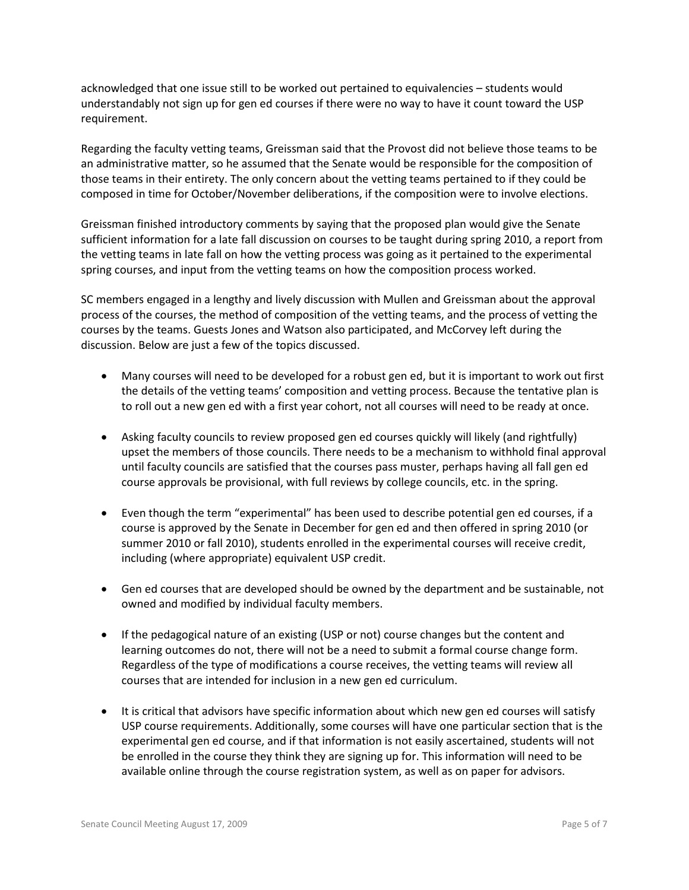acknowledged that one issue still to be worked out pertained to equivalencies – students would understandably not sign up for gen ed courses if there were no way to have it count toward the USP requirement.

Regarding the faculty vetting teams, Greissman said that the Provost did not believe those teams to be an administrative matter, so he assumed that the Senate would be responsible for the composition of those teams in their entirety. The only concern about the vetting teams pertained to if they could be composed in time for October/November deliberations, if the composition were to involve elections.

Greissman finished introductory comments by saying that the proposed plan would give the Senate sufficient information for a late fall discussion on courses to be taught during spring 2010, a report from the vetting teams in late fall on how the vetting process was going as it pertained to the experimental spring courses, and input from the vetting teams on how the composition process worked.

SC members engaged in a lengthy and lively discussion with Mullen and Greissman about the approval process of the courses, the method of composition of the vetting teams, and the process of vetting the courses by the teams. Guests Jones and Watson also participated, and McCorvey left during the discussion. Below are just a few of the topics discussed.

- Many courses will need to be developed for a robust gen ed, but it is important to work out first the details of the vetting teams' composition and vetting process. Because the tentative plan is to roll out a new gen ed with a first year cohort, not all courses will need to be ready at once.
- Asking faculty councils to review proposed gen ed courses quickly will likely (and rightfully) upset the members of those councils. There needs to be a mechanism to withhold final approval until faculty councils are satisfied that the courses pass muster, perhaps having all fall gen ed course approvals be provisional, with full reviews by college councils, etc. in the spring.
- Even though the term "experimental" has been used to describe potential gen ed courses, if a course is approved by the Senate in December for gen ed and then offered in spring 2010 (or summer 2010 or fall 2010), students enrolled in the experimental courses will receive credit, including (where appropriate) equivalent USP credit.
- Gen ed courses that are developed should be owned by the department and be sustainable, not owned and modified by individual faculty members.
- If the pedagogical nature of an existing (USP or not) course changes but the content and learning outcomes do not, there will not be a need to submit a formal course change form. Regardless of the type of modifications a course receives, the vetting teams will review all courses that are intended for inclusion in a new gen ed curriculum.
- It is critical that advisors have specific information about which new gen ed courses will satisfy USP course requirements. Additionally, some courses will have one particular section that is the experimental gen ed course, and if that information is not easily ascertained, students will not be enrolled in the course they think they are signing up for. This information will need to be available online through the course registration system, as well as on paper for advisors.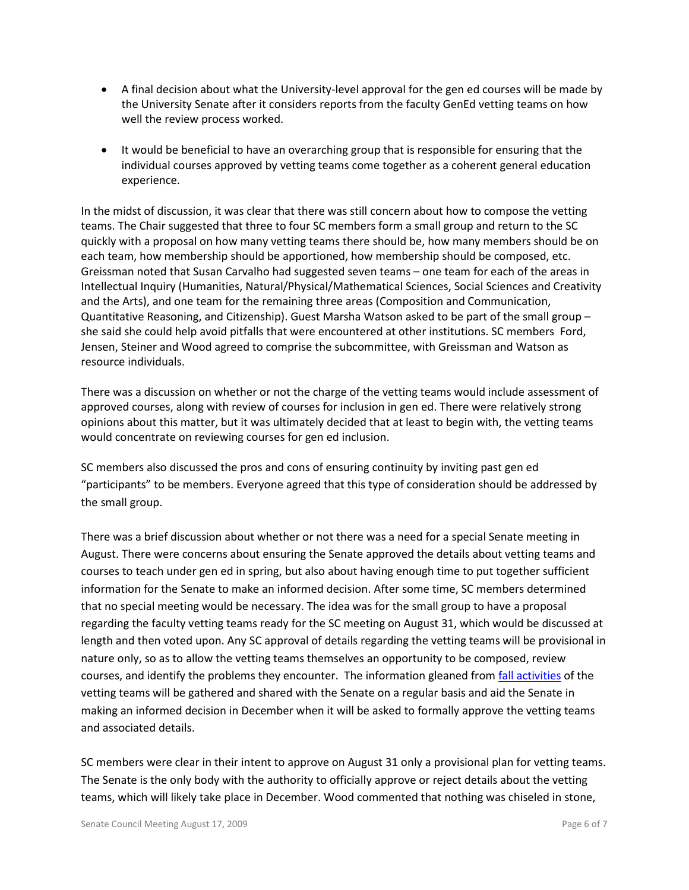- A final decision about what the University-level approval for the gen ed courses will be made by the University Senate after it considers reports from the faculty GenEd vetting teams on how well the review process worked.
- It would be beneficial to have an overarching group that is responsible for ensuring that the individual courses approved by vetting teams come together as a coherent general education experience.

In the midst of discussion, it was clear that there was still concern about how to compose the vetting teams. The Chair suggested that three to four SC members form a small group and return to the SC quickly with a proposal on how many vetting teams there should be, how many members should be on each team, how membership should be apportioned, how membership should be composed, etc. Greissman noted that Susan Carvalho had suggested seven teams – one team for each of the areas in Intellectual Inquiry (Humanities, Natural/Physical/Mathematical Sciences, Social Sciences and Creativity and the Arts), and one team for the remaining three areas (Composition and Communication, Quantitative Reasoning, and Citizenship). Guest Marsha Watson asked to be part of the small group – she said she could help avoid pitfalls that were encountered at other institutions. SC members Ford, Jensen, Steiner and Wood agreed to comprise the subcommittee, with Greissman and Watson as resource individuals.

There was a discussion on whether or not the charge of the vetting teams would include assessment of approved courses, along with review of courses for inclusion in gen ed. There were relatively strong opinions about this matter, but it was ultimately decided that at least to begin with, the vetting teams would concentrate on reviewing courses for gen ed inclusion.

SC members also discussed the pros and cons of ensuring continuity by inviting past gen ed "participants" to be members. Everyone agreed that this type of consideration should be addressed by the small group.

There was a brief discussion about whether or not there was a need for a special Senate meeting in August. There were concerns about ensuring the Senate approved the details about vetting teams and courses to teach under gen ed in spring, but also about having enough time to put together sufficient information for the Senate to make an informed decision. After some time, SC members determined that no special meeting would be necessary. The idea was for the small group to have a proposal regarding the faculty vetting teams ready for the SC meeting on August 31, which would be discussed at length and then voted upon. Any SC approval of details regarding the vetting teams will be provisional in nature only, so as to allow the vetting teams themselves an opportunity to be composed, review courses, and identify the problems they encounter. The information gleaned from [fall activities](http://www.uky.edu/Faculty/Senate/files/Meetings/20090817/Fall%202009%20phase%20-%20GenEd%20implementation%20(draft).pdf) of the vetting teams will be gathered and shared with the Senate on a regular basis and aid the Senate in making an informed decision in December when it will be asked to formally approve the vetting teams and associated details.

SC members were clear in their intent to approve on August 31 only a provisional plan for vetting teams. The Senate is the only body with the authority to officially approve or reject details about the vetting teams, which will likely take place in December. Wood commented that nothing was chiseled in stone,